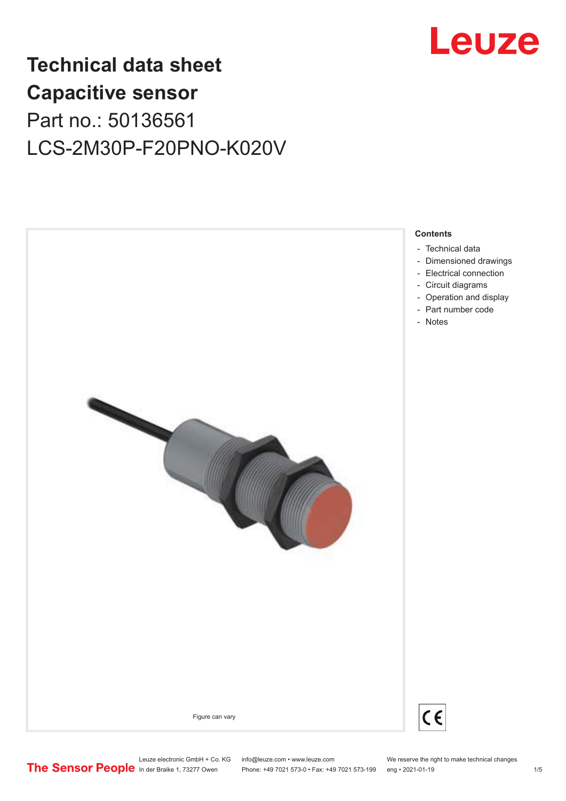

# **Technical data sheet Capacitive sensor** Part no.: 50136561 LCS-2M30P-F20PNO-K020V



Phone: +49 7021 573-0 • Fax: +49 7021 573-199 eng • 2021-01-19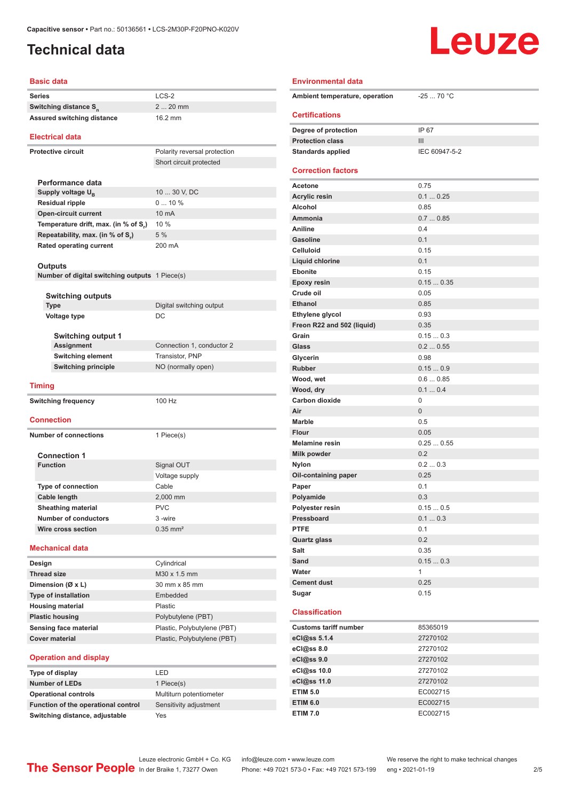## <span id="page-1-0"></span>**Technical data**

# **Leuze**

| <b>Basic data</b>                              |                              |
|------------------------------------------------|------------------------------|
| <b>Series</b>                                  | $LCS-2$                      |
| Switching distance S <sub>n</sub>              | $220$ mm                     |
| Assured switching distance                     | 16.2 mm                      |
|                                                |                              |
| <b>Electrical data</b>                         |                              |
| <b>Protective circuit</b>                      | Polarity reversal protection |
|                                                | Short circuit protected      |
|                                                |                              |
| Performance data                               |                              |
| Supply voltage U <sub>B</sub>                  | 10  30 V, DC                 |
| <b>Residual ripple</b>                         | $010\%$                      |
| <b>Open-circuit current</b>                    | 10 mA                        |
| Temperature drift, max. (in % of S,)           | 10 %                         |
| Repeatability, max. (in % of S.)               | 5 %                          |
| <b>Rated operating current</b>                 | 200 mA                       |
|                                                |                              |
| Outputs                                        |                              |
| Number of digital switching outputs 1 Piece(s) |                              |
|                                                |                              |
| <b>Switching outputs</b><br><b>Type</b>        | Digital switching output     |
| Voltage type                                   | DC                           |
|                                                |                              |
| <b>Switching output 1</b>                      |                              |
| <b>Assignment</b>                              | Connection 1, conductor 2    |
| <b>Switching element</b>                       | <b>Transistor, PNP</b>       |
| <b>Switching principle</b>                     | NO (normally open)           |
| <b>Timing</b>                                  |                              |
| <b>Switching frequency</b>                     | 100 Hz                       |
|                                                |                              |
| <b>Connection</b>                              |                              |
| <b>Number of connections</b>                   | 1 Piece(s)                   |
|                                                |                              |
| <b>Connection 1</b>                            |                              |
| <b>Function</b>                                | Signal OUT                   |
|                                                | Voltage supply               |
| <b>Type of connection</b>                      | Cable                        |
| <b>Cable length</b>                            | 2,000 mm                     |
| <b>Sheathing material</b>                      | <b>PVC</b>                   |
| <b>Number of conductors</b>                    | 3-wire                       |
| Wire cross section                             | $0.35$ mm <sup>2</sup>       |
| <b>Mechanical data</b>                         |                              |
| Design                                         | Cylindrical                  |
| <b>Thread size</b>                             | M30 x 1.5 mm                 |
| Dimension (Ø x L)                              | 30 mm x 85 mm                |
| <b>Type of installation</b>                    | Embedded                     |
| <b>Housing material</b>                        | Plastic                      |
| <b>Plastic housing</b>                         | Polybutylene (PBT)           |
| Sensing face material                          | Plastic, Polybutylene (PBT)  |
| <b>Cover material</b>                          | Plastic, Polybutylene (PBT)  |
|                                                |                              |
| <b>Operation and display</b>                   |                              |
| Type of display                                | LED                          |

| Type of display                     | I FD                    |
|-------------------------------------|-------------------------|
| <b>Number of LEDs</b>               | 1 Piece(s)              |
| <b>Operational controls</b>         | Multiturn potentiometer |
| Function of the operational control | Sensitivity adjustment  |
| Switching distance, adjustable      | Yes                     |

| I FD                    |
|-------------------------|
| 1 Piece(s)              |
| Multiturn potentiometer |
| Sensitivity adjustment  |
| Yes                     |

| <b>Environmental data</b>           |               |
|-------------------------------------|---------------|
| Ambient temperature, operation      | $-2570 °C$    |
| <b>Certifications</b>               |               |
|                                     |               |
| Degree of protection                | IP 67         |
| <b>Protection class</b>             | Ш             |
| <b>Standards applied</b>            | IEC 60947-5-2 |
| <b>Correction factors</b>           |               |
|                                     |               |
| Acetone                             | 0.75          |
| <b>Acrylic resin</b>                | 0.10.25       |
| Alcohol                             | 0.85          |
| Ammonia                             | 0.70.85       |
| Aniline                             | 0.4           |
| <b>Gasoline</b>                     | 0.1           |
| <b>Celluloid</b>                    | 0.15          |
| Liquid chlorine                     | 0.1           |
| <b>Ebonite</b>                      | 0.15          |
| <b>Epoxy resin</b><br>Crude oil     | 0.150.35      |
|                                     | 0.05          |
| <b>Ethanol</b>                      | 0.85<br>0.93  |
| Ethylene glycol                     | 0.35          |
| Freon R22 and 502 (liquid)<br>Grain | 0.150.3       |
| Glass                               | 0.20.55       |
| Glycerin                            | 0.98          |
| <b>Rubber</b>                       | 0.150.9       |
| Wood, wet                           | 0.60.85       |
| Wood, dry                           | 0.10.4        |
| <b>Carbon dioxide</b>               | 0             |
| Air                                 | $\Omega$      |
| <b>Marble</b>                       | 0.5           |
| Flour                               | 0.05          |
| <b>Melamine resin</b>               | 0.250.55      |
| <b>Milk powder</b>                  | 0.2           |
| <b>Nylon</b>                        | 0.20.3        |
| Oil-containing paper                | 0.25          |
| Paper                               | 0.1           |
| Polyamide                           | 0.3           |
| Polyester resin                     | 0.150.5       |
| Pressboard                          | 0.10.3        |
| <b>PTFE</b>                         | 0.1           |
| <b>Quartz glass</b>                 | 0.2           |
| Salt                                | 0.35          |
| Sand                                | 0.150.3       |
| Water                               | 1             |
| <b>Cement dust</b>                  | 0.25          |
| Sugar                               | 0.15          |
|                                     |               |
| <b>Classification</b>               |               |
| <b>Customs tariff number</b>        | 85365019      |
| eCl@ss 5.1.4                        | 27270102      |
| eCl@ss 8.0                          | 27270102      |
| eCl@ss 9.0                          | 27270102      |
| eCl@ss 10.0                         | 27270102      |
| eCl@ss 11.0                         | 27270102      |
| <b>ETIM 5.0</b>                     | EC002715      |
| <b>ETIM 6.0</b>                     | EC002715      |
| <b>ETIM 7.0</b>                     | EC002715      |

Leuze electronic GmbH + Co. KG info@leuze.com • www.leuze.com We reserve the right to make technical changes<br>
The Sensor People in der Braike 1, 73277 Owen Phone: +49 7021 573-0 • Fax: +49 7021 573-199 eng • 2021-01-19

Phone: +49 7021 573-0 • Fax: +49 7021 573-199 eng • 2021-01-19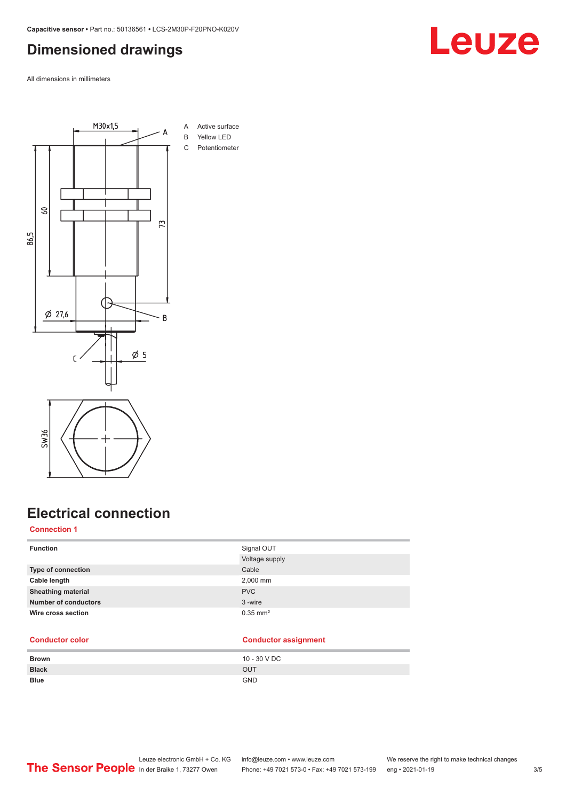## <span id="page-2-0"></span>**Dimensioned drawings**

All dimensions in millimeters



## **Electrical connection**

### **Connection 1**

| <b>Function</b>             | Signal OUT             |
|-----------------------------|------------------------|
|                             | Voltage supply         |
| Type of connection          | Cable                  |
| Cable length                | 2,000 mm               |
| <b>Sheathing material</b>   | <b>PVC</b>             |
| <b>Number of conductors</b> | 3-wire                 |
| Wire cross section          | $0.35$ mm <sup>2</sup> |
|                             |                        |

## **Conductor color Conductor assignment**

| <b>Brown</b> | 10 - 30 V DC |
|--------------|--------------|
| <b>Black</b> | OUT          |
| <b>Blue</b>  | <b>GND</b>   |

### Leuze electronic GmbH + Co. KG info@leuze.com • www.leuze.com We reserve the right to make technical changes<br>
The Sensor People in der Braike 1, 73277 Owen Phone: +49 7021 573-0 • Fax: +49 7021 573-199 eng • 2021-01-19 Phone: +49 7021 573-0 • Fax: +49 7021 573-199 eng • 2021-01-19 3/5

**Leuze**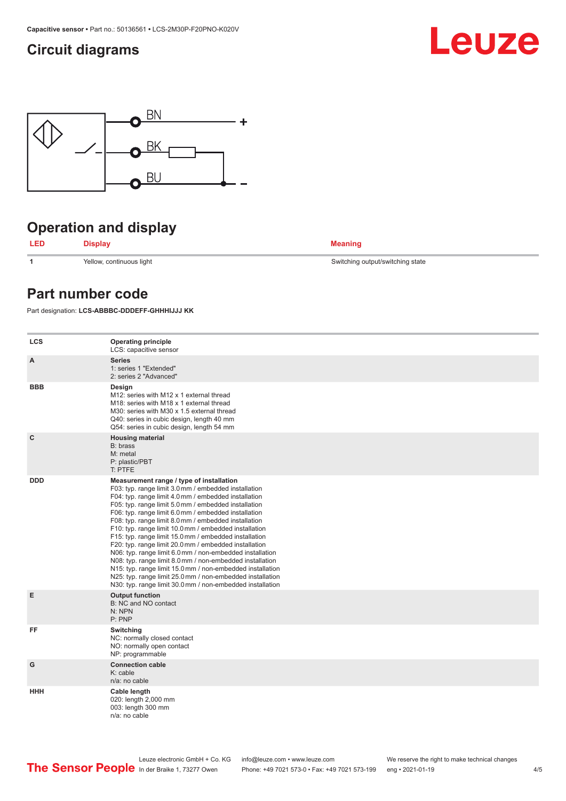## <span id="page-3-0"></span>**Circuit diagrams**





## **Operation and display**



**1** Yellow, continuous light Switching output/switching state

## **Part number code**

Part designation: **LCS-ABBBC-DDDEFF-GHHHIJJJ KK**

| <b>LCS</b>  | <b>Operating principle</b><br>LCS: capacitive sensor                                                                                                                                                                                                                                                                                                                                                                                                                                                                                                                                                                                                                                                                                                                                                                       |
|-------------|----------------------------------------------------------------------------------------------------------------------------------------------------------------------------------------------------------------------------------------------------------------------------------------------------------------------------------------------------------------------------------------------------------------------------------------------------------------------------------------------------------------------------------------------------------------------------------------------------------------------------------------------------------------------------------------------------------------------------------------------------------------------------------------------------------------------------|
| A           | <b>Series</b><br>1: series 1 "Extended"<br>2: series 2 "Advanced"                                                                                                                                                                                                                                                                                                                                                                                                                                                                                                                                                                                                                                                                                                                                                          |
| <b>BBB</b>  | Design<br>M12: series with M12 x 1 external thread<br>M <sub>18</sub> : series with M <sub>18</sub> x 1 external thread<br>M30: series with M30 x 1.5 external thread<br>Q40: series in cubic design, length 40 mm<br>Q54: series in cubic design, length 54 mm                                                                                                                                                                                                                                                                                                                                                                                                                                                                                                                                                            |
| $\mathbf c$ | <b>Housing material</b><br>B: brass<br>M: metal<br>P: plastic/PBT<br>T: PTFE                                                                                                                                                                                                                                                                                                                                                                                                                                                                                                                                                                                                                                                                                                                                               |
| <b>DDD</b>  | Measurement range / type of installation<br>F03: typ. range limit 3.0 mm / embedded installation<br>F04: typ. range limit 4.0 mm / embedded installation<br>F05: typ. range limit 5.0 mm / embedded installation<br>F06: typ. range limit 6.0 mm / embedded installation<br>F08: typ. range limit 8.0 mm / embedded installation<br>F10: typ. range limit 10.0 mm / embedded installation<br>F15: typ. range limit 15.0 mm / embedded installation<br>F20: typ. range limit 20.0 mm / embedded installation<br>N06: typ. range limit 6.0 mm / non-embedded installation<br>N08: typ. range limit 8.0 mm / non-embedded installation<br>N15: typ. range limit 15.0 mm / non-embedded installation<br>N25: typ. range limit 25.0 mm / non-embedded installation<br>N30: typ. range limit 30.0 mm / non-embedded installation |
| E           | <b>Output function</b><br>B: NC and NO contact<br>N: NPN<br>P: PNP                                                                                                                                                                                                                                                                                                                                                                                                                                                                                                                                                                                                                                                                                                                                                         |
| FF          | Switching<br>NC: normally closed contact<br>NO: normally open contact<br>NP: programmable                                                                                                                                                                                                                                                                                                                                                                                                                                                                                                                                                                                                                                                                                                                                  |
| G           | <b>Connection cable</b><br>$K:$ cable<br>n/a: no cable                                                                                                                                                                                                                                                                                                                                                                                                                                                                                                                                                                                                                                                                                                                                                                     |
| HHH         | Cable length<br>020: length 2,000 mm<br>003: length 300 mm<br>n/a: no cable                                                                                                                                                                                                                                                                                                                                                                                                                                                                                                                                                                                                                                                                                                                                                |